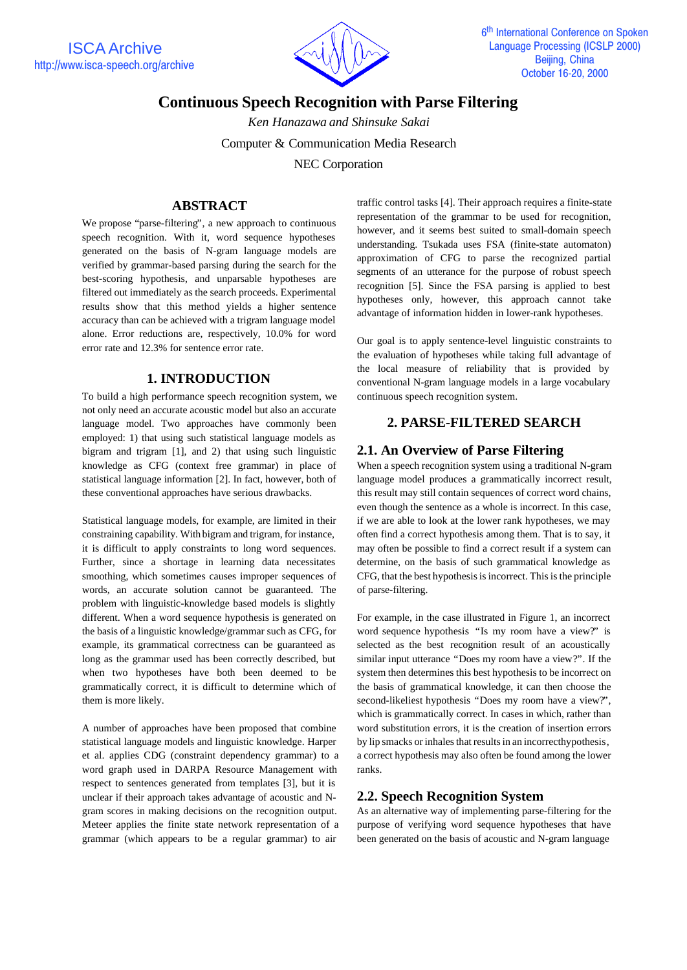

# **Continuous Speech Recognition with Parse Filtering**

*Ken Hanazawa and Shinsuke Sakai*

Computer & Communication Media Research

NEC Corporation

## **ABSTRACT**

We propose "parse-filtering", a new approach to continuous speech recognition. With it, word sequence hypotheses generated on the basis of N-gram language models are verified by grammar-based parsing during the search for the best-scoring hypothesis, and unparsable hypotheses are filtered out immediately as the search proceeds. Experimental results show that this method yields a higher sentence accuracy than can be achieved with a trigram language model alone. Error reductions are, respectively, 10.0% for word error rate and 12.3% for sentence error rate.

## **1. INTRODUCTION**

To build a high performance speech recognition system, we not only need an accurate acoustic model but also an accurate language model. Two approaches have commonly been employed: 1) that using such statistical language models as bigram and trigram [1], and 2) that using such linguistic knowledge as CFG (context free grammar) in place of statistical language information [2]. In fact, however, both of these conventional approaches have serious drawbacks.

Statistical language models, for example, are limited in their constraining capability. With bigram and trigram, for instance, it is difficult to apply constraints to long word sequences. Further, since a shortage in learning data necessitates smoothing, which sometimes causes improper sequences of words, an accurate solution cannot be guaranteed. The problem with linguistic-knowledge based models is slightly different. When a word sequence hypothesis is generated on the basis of a linguistic knowledge/grammar such as CFG, for example, its grammatical correctness can be guaranteed as long as the grammar used has been correctly described, but when two hypotheses have both been deemed to be grammatically correct, it is difficult to determine which of them is more likely.

A number of approaches have been proposed that combine statistical language models and linguistic knowledge. Harper et al. applies CDG (constraint dependency grammar) to a word graph used in DARPA Resource Management with respect to sentences generated from templates [3], but it is unclear if their approach takes advantage of acoustic and Ngram scores in making decisions on the recognition output. Meteer applies the finite state network representation of a grammar (which appears to be a regular grammar) to air

traffic control tasks [4]. Their approach requires a finite-state representation of the grammar to be used for recognition, however, and it seems best suited to small-domain speech understanding. Tsukada uses FSA (finite-state automaton) approximation of CFG to parse the recognized partial segments of an utterance for the purpose of robust speech recognition [5]. Since the FSA parsing is applied to best hypotheses only, however, this approach cannot take advantage of information hidden in lower-rank hypotheses.

Our goal is to apply sentence-level linguistic constraints to the evaluation of hypotheses while taking full advantage of the local measure of reliability that is provided by conventional N-gram language models in a large vocabulary continuous speech recognition system.

## **2. PARSE-FILTERED SEARCH**

## **2.1. An Overview of Parse Filtering**

When a speech recognition system using a traditional N-gram language model produces a grammatically incorrect result, this result may still contain sequences of correct word chains, even though the sentence as a whole is incorrect. In this case, if we are able to look at the lower rank hypotheses, we may often find a correct hypothesis among them. That is to say, it may often be possible to find a correct result if a system can determine, on the basis of such grammatical knowledge as CFG, that the best hypothesis is incorrect. This is the principle of parse-filtering.

For example, in the case illustrated in Figure 1, an incorrect word sequence hypothesis "Is my room have a view?" is selected as the best recognition result of an acoustically similar input utterance "Does my room have a view?". If the system then determines this best hypothesis to be incorrect on the basis of grammatical knowledge, it can then choose the second-likeliest hypothesis "Does my room have a view?", which is grammatically correct. In cases in which, rather than word substitution errors, it is the creation of insertion errors by lip smacks or inhales that results in an incorrect hypothesis, a correct hypothesis may also often be found among the lower ranks.

## **2.2. Speech Recognition System**

As an alternative way of implementing parse-filtering for the purpose of verifying word sequence hypotheses that have been generated on the basis of acoustic and N-gram language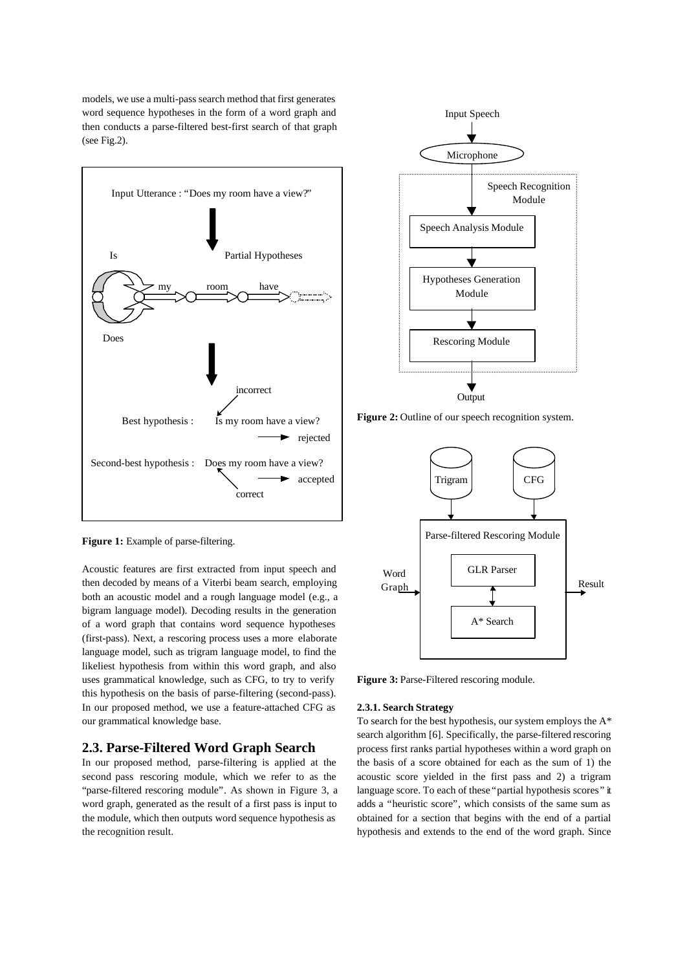models, we use a multi-pass search method that first generates word sequence hypotheses in the form of a word graph and then conducts a parse-filtered best-first search of that graph (see Fig.2).





Figure 2: Outline of our speech recognition system.



**Figure 1:** Example of parse-filtering.

Acoustic features are first extracted from input speech and then decoded by means of a Viterbi beam search, employing both an acoustic model and a rough language model (e.g., a bigram language model). Decoding results in the generation of a word graph that contains word sequence hypotheses (first-pass). Next, a rescoring process uses a more elaborate language model, such as trigram language model, to find the likeliest hypothesis from within this word graph, and also uses grammatical knowledge, such as CFG, to try to verify this hypothesis on the basis of parse-filtering (second-pass). In our proposed method, we use a feature-attached CFG as our grammatical knowledge base.

### **2.3. Parse-Filtered Word Graph Search**

In our proposed method, parse-filtering is applied at the second pass rescoring module, which we refer to as the "parse-filtered rescoring module". As shown in Figure 3, a word graph, generated as the result of a first pass is input to the module, which then outputs word sequence hypothesis as the recognition result.

Figure 3: Parse-Filtered rescoring module.

#### **2.3.1. Search Strategy**

To search for the best hypothesis, our system employs the A\* search algorithm [6]. Specifically, the parse-filtered rescoring process first ranks partial hypotheses within a word graph on the basis of a score obtained for each as the sum of 1) the acoustic score yielded in the first pass and 2) a trigram language score. To each of these "partial hypothesis scores" it adds a "heuristic score", which consists of the same sum as obtained for a section that begins with the end of a partial hypothesis and extends to the end of the word graph. Since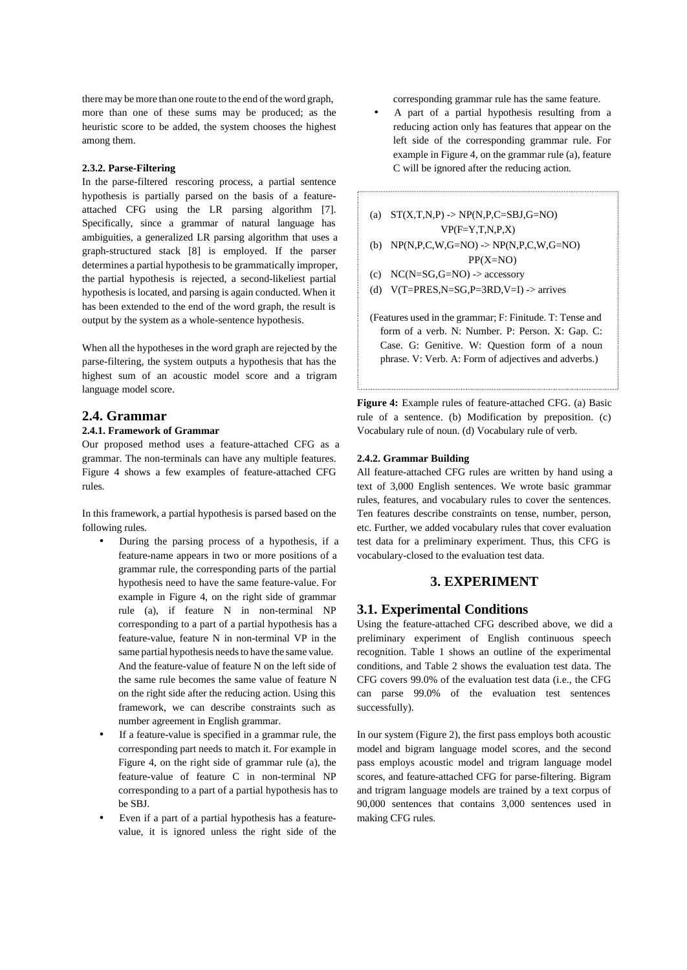there may be more than one route to the end of the word graph, more than one of these sums may be produced; as the heuristic score to be added, the system chooses the highest among them.

#### **2.3.2. Parse-Filtering**

In the parse-filtered rescoring process, a partial sentence hypothesis is partially parsed on the basis of a featureattached CFG using the LR parsing algorithm [7]. Specifically, since a grammar of natural language has ambiguities, a generalized LR parsing algorithm that uses a graph-structured stack [8] is employed. If the parser determines a partial hypothesis to be grammatically improper, the partial hypothesis is rejected, a second-likeliest partial hypothesis is located, and parsing is again conducted. When it has been extended to the end of the word graph, the result is output by the system as a whole-sentence hypothesis.

When all the hypotheses in the word graph are rejected by the parse-filtering, the system outputs a hypothesis that has the highest sum of an acoustic model score and a trigram language model score.

#### **2.4. Grammar**

#### **2.4.1. Framework of Grammar**

Our proposed method uses a feature-attached CFG as a grammar. The non-terminals can have any multiple features. Figure 4 shows a few examples of feature-attached CFG rules.

In this framework, a partial hypothesis is parsed based on the following rules.

- During the parsing process of a hypothesis, if a feature-name appears in two or more positions of a grammar rule, the corresponding parts of the partial hypothesis need to have the same feature-value. For example in Figure 4, on the right side of grammar rule (a), if feature N in non-terminal NP corresponding to a part of a partial hypothesis has a feature-value, feature N in non-terminal VP in the same partial hypothesis needs to have the same value. And the feature-value of feature N on the left side of the same rule becomes the same value of feature N on the right side after the reducing action. Using this framework, we can describe constraints such as number agreement in English grammar.
- If a feature-value is specified in a grammar rule, the corresponding part needs to match it. For example in Figure 4, on the right side of grammar rule (a), the feature-value of feature C in non-terminal NP corresponding to a part of a partial hypothesis has to be SBJ.
- Even if a part of a partial hypothesis has a featurevalue, it is ignored unless the right side of the

corresponding grammar rule has the same feature.

• A part of a partial hypothesis resulting from a reducing action only has features that appear on the left side of the corresponding grammar rule. For example in Figure 4, on the grammar rule (a), feature C will be ignored after the reducing action.

(a)  $ST(X,T,N,P)$  ->  $NP(N,P,C=SBJ,G=NO)$  $VP(F=Y,T,N,P,X)$ 

- (b) NP(N,P,C,W,G=NO) -> NP(N,P,C,W,G=NO) PP(X=NO)
- (c)  $NC(N=SG,G=NO)$  -> accessory
- (d)  $V(T=PRES,N=SG,P=3RD,V=I)$  -> arrives

```
(Features used in the grammar; F: Finitude. T: Tense and
form of a verb. N: Number. P: Person. X: Gap. C:
Case. G: Genitive. W: Question form of a noun
phrase. V: Verb. A: Form of adjectives and adverbs.)
```
**Figure 4:** Example rules of feature-attached CFG. (a) Basic rule of a sentence. (b) Modification by preposition. (c) Vocabulary rule of noun. (d) Vocabulary rule of verb.

#### **2.4.2. Grammar Building**

All feature-attached CFG rules are written by hand using a text of 3,000 English sentences. We wrote basic grammar rules, features, and vocabulary rules to cover the sentences. Ten features describe constraints on tense, number, person, etc. Further, we added vocabulary rules that cover evaluation test data for a preliminary experiment. Thus, this CFG is vocabulary-closed to the evaluation test data.

### **3. EXPERIMENT**

#### **3.1. Experimental Conditions**

Using the feature-attached CFG described above, we did a preliminary experiment of English continuous speech recognition. Table 1 shows an outline of the experimental conditions, and Table 2 shows the evaluation test data. The CFG covers 99.0% of the evaluation test data (i.e., the CFG can parse 99.0% of the evaluation test sentences successfully).

In our system (Figure 2), the first pass employs both acoustic model and bigram language model scores, and the second pass employs acoustic model and trigram language model scores, and feature-attached CFG for parse-filtering. Bigram and trigram language models are trained by a text corpus of 90,000 sentences that contains 3,000 sentences used in making CFG rules.